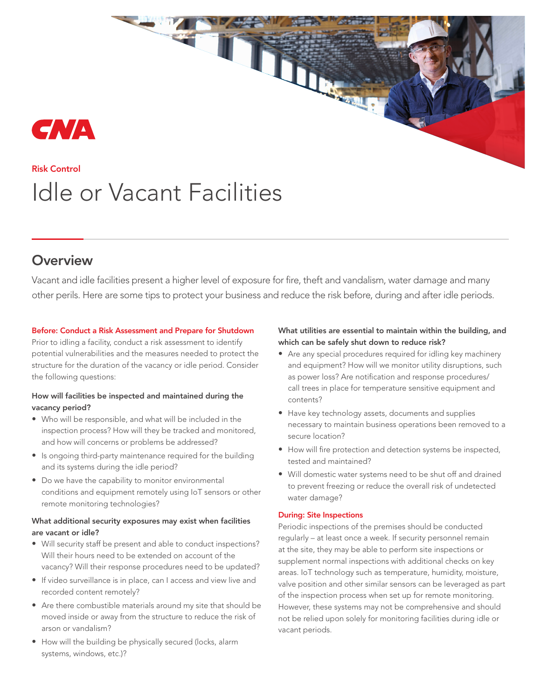# CNA

## Risk Control Idle or Vacant Facilities

### **Overview**

Vacant and idle facilities present a higher level of exposure for fire, theft and vandalism, water damage and many other perils. Here are some tips to protect your business and reduce the risk before, during and after idle periods.

#### Before: Conduct a Risk Assessment and Prepare for Shutdown

Prior to idling a facility, conduct a risk assessment to identify potential vulnerabilities and the measures needed to protect the structure for the duration of the vacancy or idle period. Consider the following questions:

#### How will facilities be inspected and maintained during the vacancy period?

- Who will be responsible, and what will be included in the inspection process? How will they be tracked and monitored, and how will concerns or problems be addressed?
- Is ongoing third-party maintenance required for the building and its systems during the idle period?
- Do we have the capability to monitor environmental conditions and equipment remotely using IoT sensors or other remote monitoring technologies?

#### What additional security exposures may exist when facilities are vacant or idle?

- Will security staff be present and able to conduct inspections? Will their hours need to be extended on account of the vacancy? Will their response procedures need to be updated?
- If video surveillance is in place, can I access and view live and recorded content remotely?
- Are there combustible materials around my site that should be moved inside or away from the structure to reduce the risk of arson or vandalism?
- How will the building be physically secured (locks, alarm systems, windows, etc.)?

#### What utilities are essential to maintain within the building, and which can be safely shut down to reduce risk?

A.

- Are any special procedures required for idling key machinery and equipment? How will we monitor utility disruptions, such as power loss? Are notification and response procedures/ call trees in place for temperature sensitive equipment and contents?
- Have key technology assets, documents and supplies necessary to maintain business operations been removed to a secure location?
- How will fire protection and detection systems be inspected, tested and maintained?
- Will domestic water systems need to be shut off and drained to prevent freezing or reduce the overall risk of undetected water damage?

#### During: Site Inspections

Periodic inspections of the premises should be conducted regularly – at least once a week. If security personnel remain at the site, they may be able to perform site inspections or supplement normal inspections with additional checks on key areas. IoT technology such as temperature, humidity, moisture, valve position and other similar sensors can be leveraged as part of the inspection process when set up for remote monitoring. However, these systems may not be comprehensive and should not be relied upon solely for monitoring facilities during idle or vacant periods.